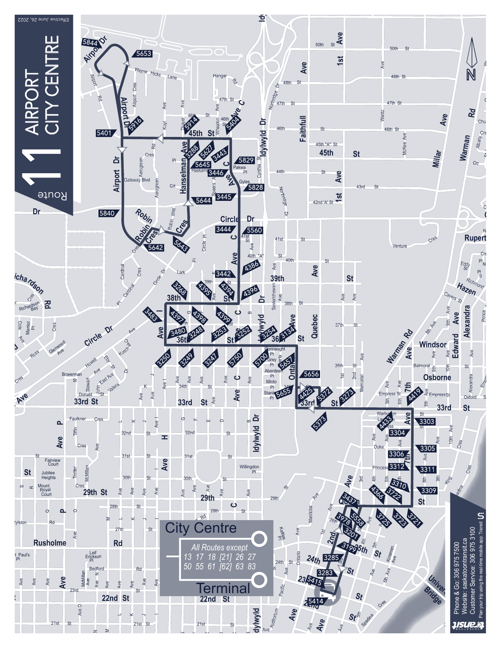